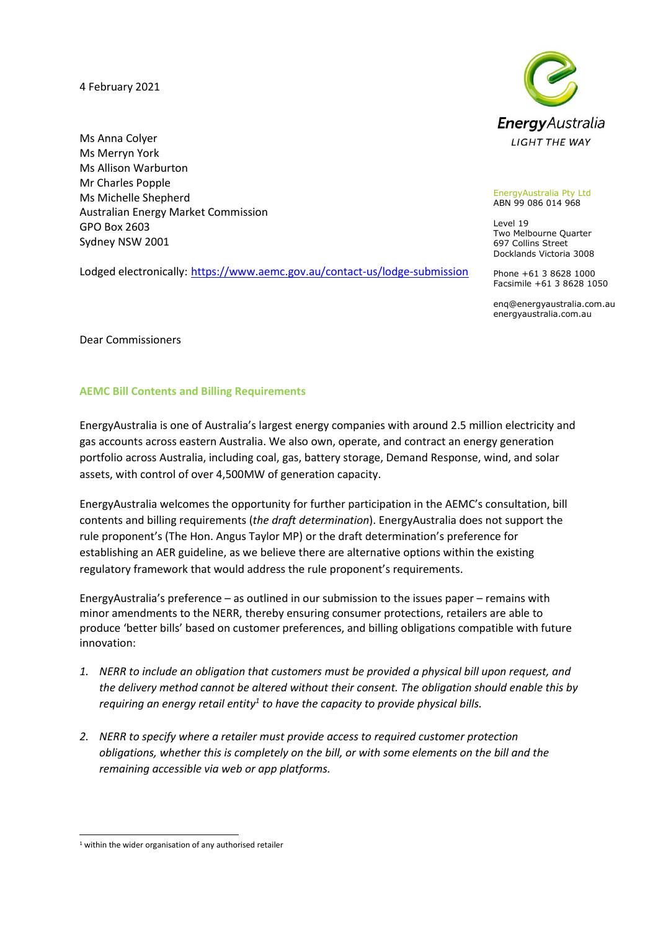4 February 2021

Ms Anna Colyer Ms Merryn York Ms Allison Warburton Mr Charles Popple Ms Michelle Shepherd Australian Energy Market Commission GPO Box 2603 Sydney NSW 2001

Lodged electronically: <https://www.aemc.gov.au/contact-us/lodge-submission>



EnergyAustralia Pty Ltd ABN 99 086 014 968

Level 19 Two Melbourne Quarter 697 Collins Street Docklands Victoria 3008

Phone +61 3 8628 1000 Facsimile +61 3 8628 1050

enq@energyaustralia.com.au energyaustralia.com.au

Dear Commissioners

## **AEMC Bill Contents and Billing Requirements**

EnergyAustralia is one of Australia's largest energy companies with around 2.5 million electricity and gas accounts across eastern Australia. We also own, operate, and contract an energy generation portfolio across Australia, including coal, gas, battery storage, Demand Response, wind, and solar assets, with control of over 4,500MW of generation capacity.

EnergyAustralia welcomes the opportunity for further participation in the AEMC's consultation, bill contents and billing requirements (*the draft determination*). EnergyAustralia does not support the rule proponent's (The Hon. Angus Taylor MP) or the draft determination's preference for establishing an AER guideline, as we believe there are alternative options within the existing regulatory framework that would address the rule proponent's requirements.

EnergyAustralia's preference – as outlined in our submission to the issues paper – remains with minor amendments to the NERR, thereby ensuring consumer protections, retailers are able to produce 'better bills' based on customer preferences, and billing obligations compatible with future innovation:

- *1. NERR to include an obligation that customers must be provided a physical bill upon request, and the delivery method cannot be altered without their consent. The obligation should enable this by requiring an energy retail entity<sup>1</sup> to have the capacity to provide physical bills.*
- *2. NERR to specify where a retailer must provide access to required customer protection obligations, whether this is completely on the bill, or with some elements on the bill and the remaining accessible via web or app platforms.*

 $1$  within the wider organisation of any authorised retailer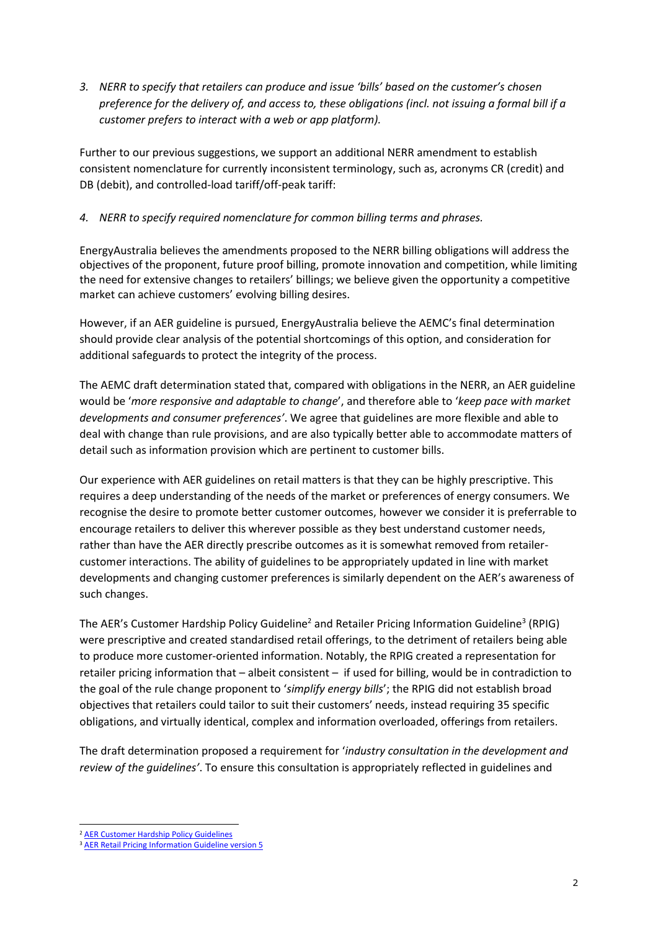*3. NERR to specify that retailers can produce and issue 'bills' based on the customer's chosen preference for the delivery of, and access to, these obligations (incl. not issuing a formal bill if a customer prefers to interact with a web or app platform).*

Further to our previous suggestions, we support an additional NERR amendment to establish consistent nomenclature for currently inconsistent terminology, such as, acronyms CR (credit) and DB (debit), and controlled-load tariff/off-peak tariff:

## *4. NERR to specify required nomenclature for common billing terms and phrases.*

EnergyAustralia believes the amendments proposed to the NERR billing obligations will address the objectives of the proponent, future proof billing, promote innovation and competition, while limiting the need for extensive changes to retailers' billings; we believe given the opportunity a competitive market can achieve customers' evolving billing desires.

However, if an AER guideline is pursued, EnergyAustralia believe the AEMC's final determination should provide clear analysis of the potential shortcomings of this option, and consideration for additional safeguards to protect the integrity of the process.

The AEMC draft determination stated that, compared with obligations in the NERR, an AER guideline would be '*more responsive and adaptable to change*', and therefore able to '*keep pace with market developments and consumer preferences'*. We agree that guidelines are more flexible and able to deal with change than rule provisions, and are also typically better able to accommodate matters of detail such as information provision which are pertinent to customer bills.

Our experience with AER guidelines on retail matters is that they can be highly prescriptive. This requires a deep understanding of the needs of the market or preferences of energy consumers. We recognise the desire to promote better customer outcomes, however we consider it is preferrable to encourage retailers to deliver this wherever possible as they best understand customer needs, rather than have the AER directly prescribe outcomes as it is somewhat removed from retailercustomer interactions. The ability of guidelines to be appropriately updated in line with market developments and changing customer preferences is similarly dependent on the AER's awareness of such changes.

The AER's Customer Hardship Policy Guideline<sup>2</sup> and Retailer Pricing Information Guideline<sup>3</sup> (RPIG) were prescriptive and created standardised retail offerings, to the detriment of retailers being able to produce more customer-oriented information. Notably, the RPIG created a representation for retailer pricing information that – albeit consistent – if used for billing, would be in contradiction to the goal of the rule change proponent to '*simplify energy bills*'; the RPIG did not establish broad objectives that retailers could tailor to suit their customers' needs, instead requiring 35 specific obligations, and virtually identical, complex and information overloaded, offerings from retailers.

The draft determination proposed a requirement for '*industry consultation in the development and review of the guidelines'*. To ensure this consultation is appropriately reflected in guidelines and

<sup>2</sup> [AER Customer Hardship Policy Guidelines](https://www.aer.gov.au/retail-markets/guidelines-reviews/customer-hardship-policy-guideline)

<sup>3</sup> [AER Retail Pricing Information Guideline version 5](https://www.aer.gov.au/system/files/AER%20Retail%20Pricing%20Information%20Guidelines%20-%20Version%205.0%20-%20April%202018.pdf)